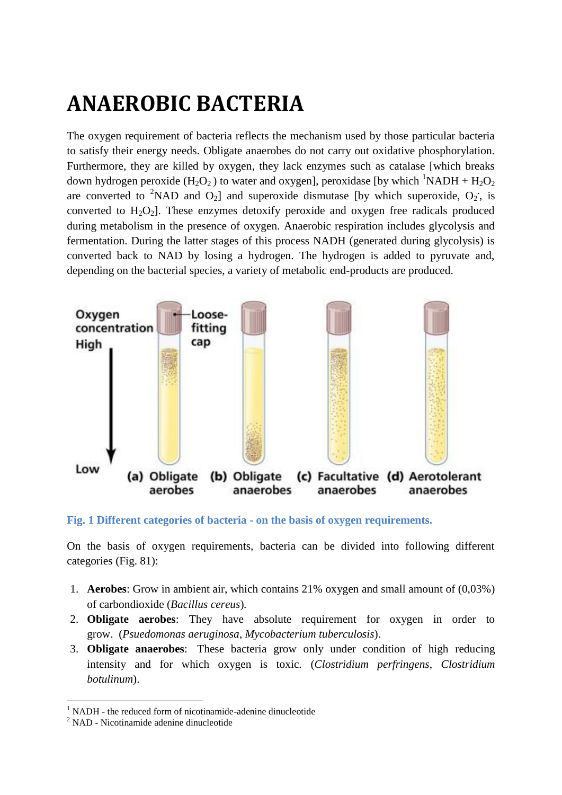# **ANAEROBIC BACTERIA**

The oxygen requirement of bacteria reflects the mechanism used by those particular bacteria to satisfy their energy needs. Obligate anaerobes do not carry out oxidative phosphorylation. Furthermore, they are killed by oxygen, they lack enzymes such as catalase [which breaks down hydrogen peroxide  $(H_2O_2)$  to water and oxygen], peroxidase [by which <sup>1</sup>NADH +  $H_2O_2$ are converted to <sup>2</sup>NAD and  $O_2$ ] and superoxide dismutase [by which superoxide,  $O_2$ ; is converted to  $H_2O_2$ ]. These enzymes detoxify peroxide and oxygen free radicals produced during metabolism in the presence of oxygen. Anaerobic respiration includes glycolysis and fermentation. During the latter stages of this process NADH (generated during glycolysis) is converted back to NAD by losing a hydrogen. The hydrogen is added to pyruvate and, depending on the bacterial species, a variety of metabolic end-products are produced.



**Fig. 1 Different categories of bacteria - on the basis of oxygen requirements.**

On the basis of oxygen requirements, bacteria can be divided into following different categories (Fig. 81):

- 1. **Aerobes**: Grow in ambient air, which contains 21% oxygen and small amount of (0,03%) of carbondioxide (*Bacillus cereus*)*.*
- 2. **Obligate aerobes**: They have absolute requirement for oxygen in order to grow. (*Psuedomonas aeruginosa*, *Mycobacterium tuberculosis*).
- 3. **Obligate anaerobes**: These bacteria grow only under condition of high reducing intensity and for which oxygen is toxic. (*Clostridium perfringens*, *Clostridium botulinum*).

 $\overline{a}$ 

 $1$  NADH - the reduced form of nicotinamide-adenine dinucleotide

<sup>2</sup> NAD - Nicotinamide adenine dinucleotide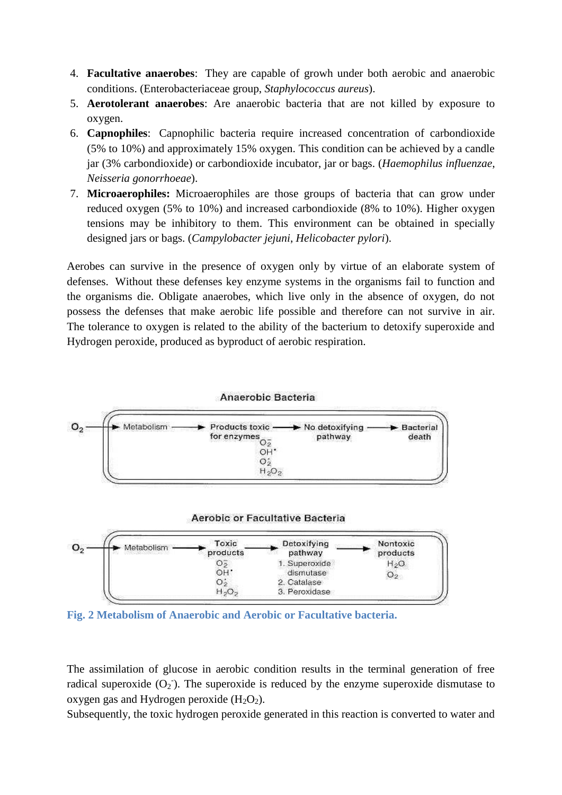- 4. **Facultative anaerobes**: They are capable of growh under both aerobic and anaerobic conditions. (Enterobacteriaceae group, *Staphylococcus aureus*).
- 5. **Aerotolerant anaerobes**: Are anaerobic bacteria that are not killed by exposure to oxygen.
- 6. **Capnophiles**: Capnophilic bacteria require increased concentration of carbondioxide (5% to 10%) and approximately 15% oxygen. This condition can be achieved by a candle jar (3% carbondioxide) or carbondioxide incubator, jar or bags. (*Haemophilus influenzae*, *Neisseria gonorrhoeae*).
- 7. **Microaerophiles:** Microaerophiles are those groups of bacteria that can grow under reduced oxygen (5% to 10%) and increased carbondioxide (8% to 10%). Higher oxygen tensions may be inhibitory to them. This environment can be obtained in specially designed jars or bags. (*Campylobacter jejuni*, *Helicobacter pylori*).

Aerobes can survive in the presence of oxygen only by virtue of an elaborate system of defenses. Without these defenses key enzyme systems in the organisms fail to function and the organisms die. Obligate anaerobes, which live only in the absence of oxygen, do not possess the defenses that make aerobic life possible and therefore can not survive in air. The tolerance to oxygen is related to the ability of the bacterium to detoxify superoxide and Hydrogen peroxide, produced as byproduct of aerobic respiration.



#### Aerobic or Facultative Bacteria



**Fig. 2 Metabolism of Anaerobic and Aerobic or Facultative bacteria.**

The assimilation of glucose in aerobic condition results in the terminal generation of free radical superoxide  $(O_2)$ . The superoxide is reduced by the enzyme superoxide dismutase to oxygen gas and Hydrogen peroxide  $(H_2O_2)$ .

Subsequently, the toxic hydrogen peroxide generated in this reaction is converted to water and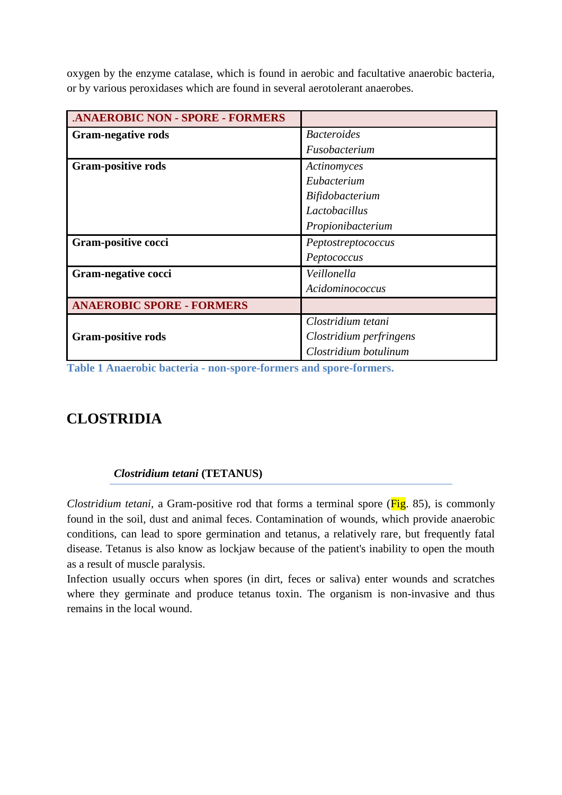oxygen by the enzyme catalase, which is found in aerobic and facultative anaerobic bacteria, or by various peroxidases which are found in several aerotolerant anaerobes.

| <b>.ANAEROBIC NON - SPORE - FORMERS</b> |                         |
|-----------------------------------------|-------------------------|
| <b>Gram-negative rods</b>               | <b>Bacteroides</b>      |
|                                         | Fusobacterium           |
| <b>Gram-positive rods</b>               | Actinomyces             |
|                                         | Eubacterium             |
|                                         | Bifidobacterium         |
|                                         | Lactobacillus           |
|                                         | Propionibacterium       |
| Gram-positive cocci                     | Peptostreptococcus      |
|                                         | Peptococcus             |
| <b>Gram-negative cocci</b>              | Veillonella             |
|                                         | Acidominococcus         |
| <b>ANAEROBIC SPORE - FORMERS</b>        |                         |
|                                         | Clostridium tetani      |
| <b>Gram-positive rods</b>               | Clostridium perfringens |
|                                         | Clostridium botulinum   |

**Table 1 Anaerobic bacteria - non-spore-formers and spore-formers.**

# **CLOSTRIDIA**

#### *Clostridium tetani* **(TETANUS)**

*Clostridium tetani,* a Gram-positive rod that forms a terminal spore (Fig. 85), is commonly found in the soil, dust and animal feces. Contamination of wounds, which provide anaerobic conditions, can lead to spore germination and tetanus, a relatively rare, but frequently fatal disease. Tetanus is also know as lockjaw because of the patient's inability to open the mouth as a result of muscle paralysis.

Infection usually occurs when spores (in dirt, feces or saliva) enter wounds and scratches where they germinate and produce tetanus toxin. The organism is non-invasive and thus remains in the local wound.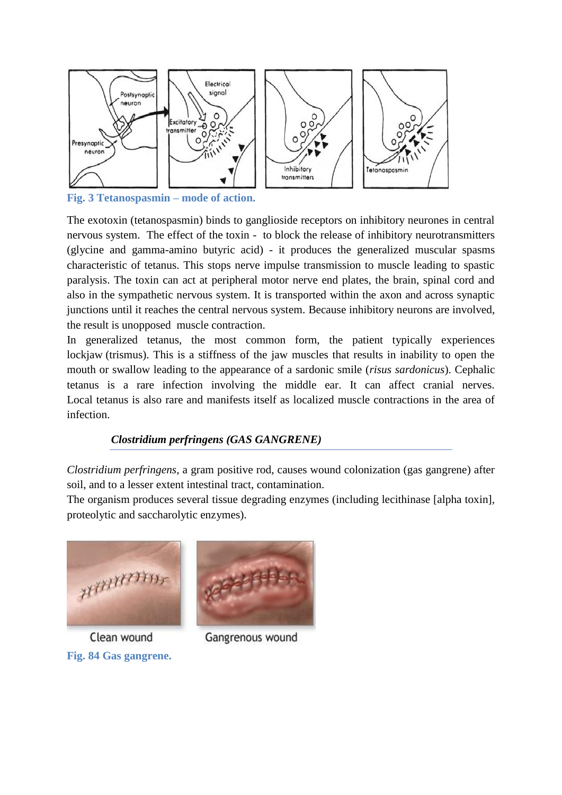

**Fig. 3 Tetanospasmin – mode of action.**

The exotoxin (tetanospasmin) binds to ganglioside receptors on inhibitory neurones in central nervous system. The effect of the toxin - to block the release of inhibitory neurotransmitters (glycine and gamma-amino butyric acid) - it produces the generalized muscular spasms characteristic of tetanus. This stops nerve impulse transmission to muscle leading to spastic paralysis. The toxin can act at peripheral motor nerve end plates, the brain, spinal cord and also in the sympathetic nervous system. It is transported within the axon and across synaptic junctions until it reaches the central nervous system. Because inhibitory neurons are involved, the result is unopposed muscle contraction.

In generalized tetanus, the most common form, the patient typically experiences lockjaw (trismus). This is a stiffness of the jaw muscles that results in inability to open the mouth or swallow leading to the appearance of a sardonic smile (*risus sardonicus*). Cephalic tetanus is a rare infection involving the middle ear. It can affect cranial nerves. Local tetanus is also rare and manifests itself as localized muscle contractions in the area of infection.

#### *Clostridium perfringens (GAS GANGRENE)*

*Clostridium perfringens,* a gram positive rod, causes wound colonization (gas gangrene) after soil, and to a lesser extent intestinal tract, contamination.

The organism produces several tissue degrading enzymes (including lecithinase [alpha toxin], proteolytic and saccharolytic enzymes).



Clean wound **Fig. 84 Gas gangrene.**



Gangrenous wound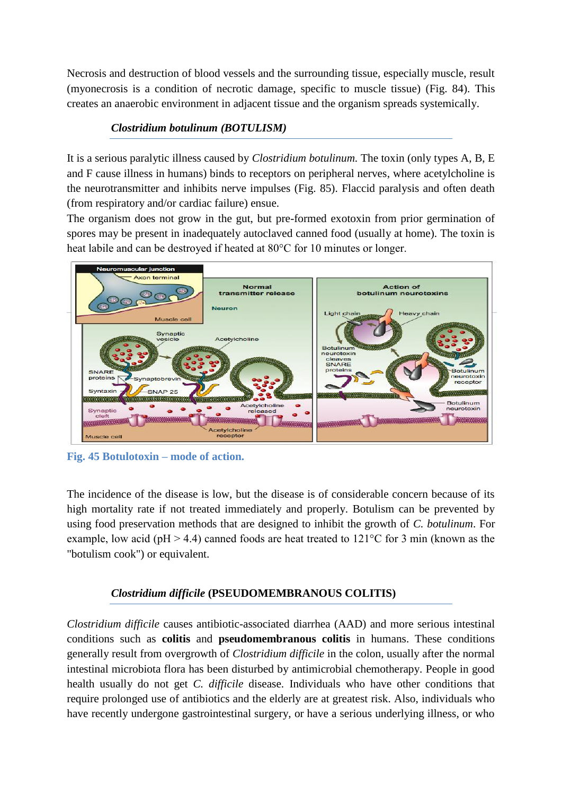Necrosis and destruction of blood vessels and the surrounding tissue, especially muscle, result (myonecrosis is a condition of necrotic damage, specific to muscle tissue) (Fig. 84). This creates an anaerobic environment in adjacent tissue and the organism spreads systemically.

#### *Clostridium botulinum (BOTULISM)*

It is a serious paralytic illness caused by *Clostridium botulinum.* The toxin (only types A, B, E and F cause illness in humans) binds to receptors on peripheral nerves, where acetylcholine is the neurotransmitter and inhibits nerve impulses (Fig. 85). Flaccid paralysis and often death (from respiratory and/or cardiac failure) ensue.

The organism does not grow in the gut, but pre-formed exotoxin from prior germination of spores may be present in inadequately autoclaved canned food (usually at home). The toxin is heat labile and can be destroyed if heated at 80°C for 10 minutes or longer.



**Fig. 45 Botulotoxin – mode of action.**

The incidence of the disease is low, but the disease is of considerable concern because of its high mortality rate if not treated immediately and properly. Botulism can be prevented by using food preservation methods that are designed to inhibit the growth of *C. botulinum*. For example, low acid (pH  $>$  4.4) canned foods are heat treated to 121<sup>o</sup>C for 3 min (known as the "botulism cook") or equivalent.

#### *Clostridium difficile* **(PSEUDOMEMBRANOUS COLITIS)**

*Clostridium difficile* causes antibiotic-associated diarrhea (AAD) and more serious intestinal conditions such as **colitis** and **pseudomembranous colitis** in humans. These conditions generally result from overgrowth of *Clostridium difficile* in the colon, usually after the normal intestinal microbiota flora has been disturbed by antimicrobial chemotherapy. People in good health usually do not get *C. difficile* disease. Individuals who have other conditions that require prolonged use of antibiotics and the elderly are at greatest risk. Also, individuals who have recently undergone gastrointestinal surgery, or have a serious underlying illness, or who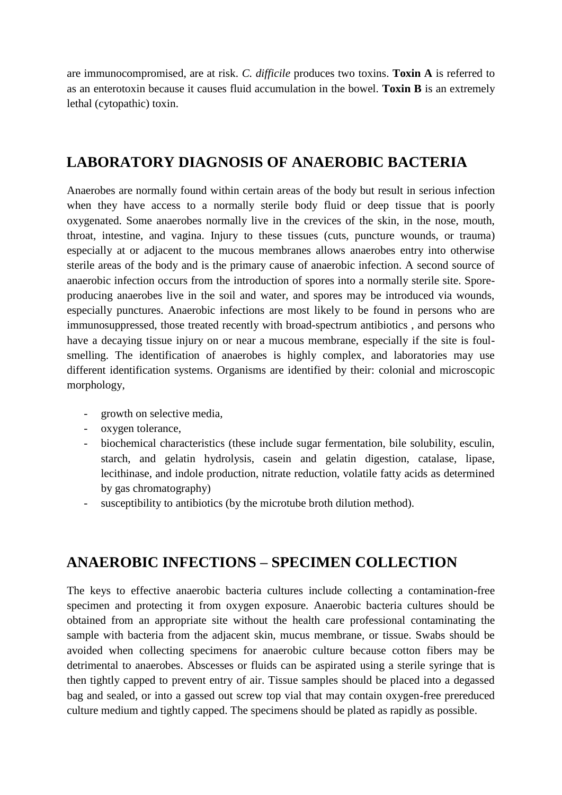are immunocompromised, are at risk. *C. difficile* produces two toxins. **Toxin A** is referred to as an enterotoxin because it causes fluid accumulation in the bowel. **Toxin B** is an extremely lethal (cytopathic) toxin.

# **LABORATORY DIAGNOSIS OF ANAEROBIC BACTERIA**

Anaerobes are normally found within certain areas of the body but result in serious infection when they have access to a normally sterile body fluid or deep tissue that is poorly oxygenated. Some anaerobes normally live in the crevices of the skin, in the nose, mouth, throat, intestine, and vagina. Injury to these tissues (cuts, puncture wounds, or trauma) especially at or adjacent to the mucous membranes allows anaerobes entry into otherwise sterile areas of the body and is the primary cause of anaerobic infection. A second source of anaerobic infection occurs from the introduction of spores into a normally sterile site. Sporeproducing anaerobes live in the soil and water, and spores may be introduced via wounds, especially punctures. Anaerobic infections are most likely to be found in persons who are immunosuppressed, those treated recently with broad-spectrum antibiotics , and persons who have a decaying tissue injury on or near a mucous membrane, especially if the site is foulsmelling. The identification of anaerobes is highly complex, and laboratories may use different identification systems. Organisms are identified by their: colonial and microscopic morphology,

- growth on selective media,
- oxygen tolerance,
- biochemical characteristics (these include sugar fermentation, bile solubility, esculin, starch, and gelatin hydrolysis, casein and gelatin digestion, catalase, lipase, lecithinase, and indole production, nitrate reduction, volatile fatty acids as determined by gas chromatography)
- susceptibility to antibiotics (by the microtube broth dilution method).

# **ANAEROBIC INFECTIONS – SPECIMEN COLLECTION**

The keys to effective anaerobic bacteria cultures include collecting a contamination-free specimen and protecting it from oxygen exposure. Anaerobic bacteria cultures should be obtained from an appropriate site without the health care professional contaminating the sample with bacteria from the adjacent skin, mucus membrane, or tissue. Swabs should be avoided when collecting specimens for anaerobic culture because cotton fibers may be detrimental to anaerobes. Abscesses or fluids can be aspirated using a sterile syringe that is then tightly capped to prevent entry of air. Tissue samples should be placed into a degassed bag and sealed, or into a gassed out screw top vial that may contain oxygen-free prereduced culture medium and tightly capped. The specimens should be plated as rapidly as possible.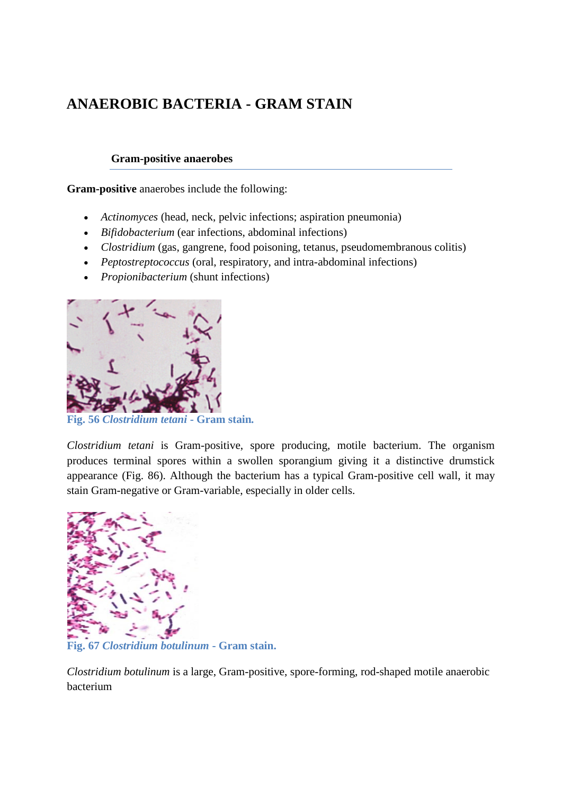# **ANAEROBIC BACTERIA - GRAM STAIN**

#### **Gram-positive anaerobes**

**Gram-positive** anaerobes include the following:

- *Actinomyces* (head, neck, pelvic infections; aspiration pneumonia)
- *Bifidobacterium* (ear infections, abdominal infections)
- *Clostridium* (gas, gangrene, food poisoning, tetanus, pseudomembranous colitis)
- *Peptostreptococcus* (oral, respiratory, and intra-abdominal infections)
- *Propionibacterium* (shunt infections)



*Clostridium tetani* is Gram-positive, spore producing, motile bacterium. The organism produces terminal spores within a swollen sporangium giving it a distinctive drumstick appearance (Fig. 86). Although the bacterium has a typical Gram-positive cell wall, it may stain Gram-negative or Gram-variable, especially in older cells.



**Fig. 67** *Clostridium botulinum* **- Gram stain.**

*Clostridium botulinum* is a large, Gram-positive, spore-forming, rod-shaped motile anaerobic bacterium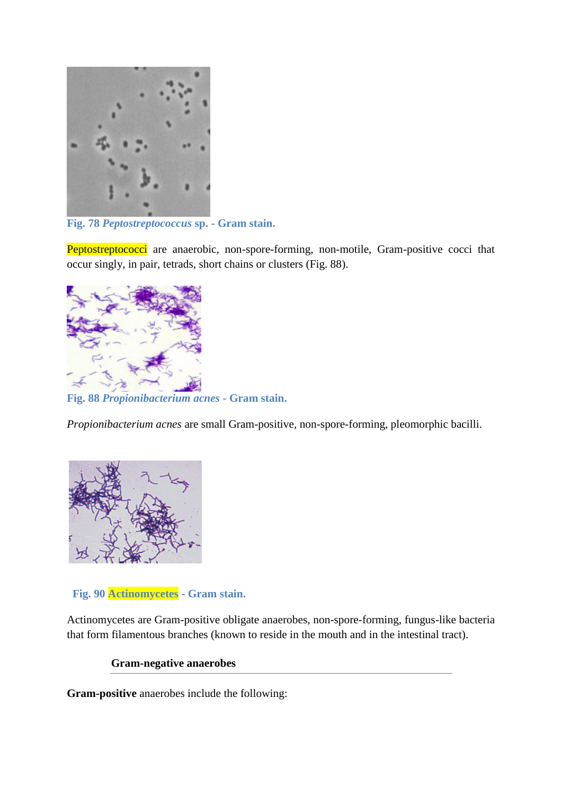

**Fig. 78** *Peptostreptococcus* **sp. - Gram stain.**

Peptostreptococci are anaerobic, non-spore-forming, non-motile, Gram-positive cocci that occur singly, in pair, tetrads, short chains or clusters (Fig. 88).



**Fig. 88** *Propionibacterium acnes* **- Gram stain.**

*Propionibacterium acnes* are small Gram-positive, non-spore-forming, pleomorphic bacilli.



#### **Fig. 90 Actinomycetes - Gram stain.**

Actinomycetes are Gram-positive obligate anaerobes, non-spore-forming, fungus-like bacteria that form filamentous branches (known to reside in the mouth and in the intestinal tract).

#### **Gram-negative anaerobes**

**Gram-positive** anaerobes include the following: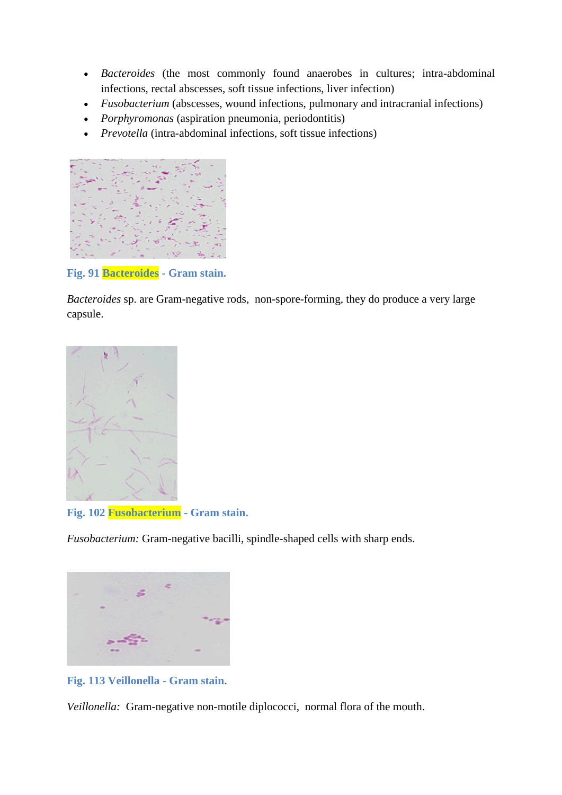- *Bacteroides* (the most commonly found anaerobes in cultures; intra-abdominal infections, rectal abscesses, soft tissue infections, liver infection)
- *Fusobacterium* (abscesses, wound infections, pulmonary and intracranial infections)
- *Porphyromonas* (aspiration pneumonia, periodontitis)
- *Prevotella* (intra-abdominal infections, soft tissue infections)



**Fig. 91 Bacteroides - Gram stain.**

*Bacteroides* sp. are Gram-negative rods, non-spore-forming, they do produce a very large capsule.



**Fig. 102 Fusobacterium - Gram stain.**

*Fusobacterium:* Gram-negative bacilli, spindle-shaped cells with sharp ends.



#### **Fig. 113 Veillonella - Gram stain.**

*Veillonella:* Gram-negative non-motile diplococci, normal flora of the mouth.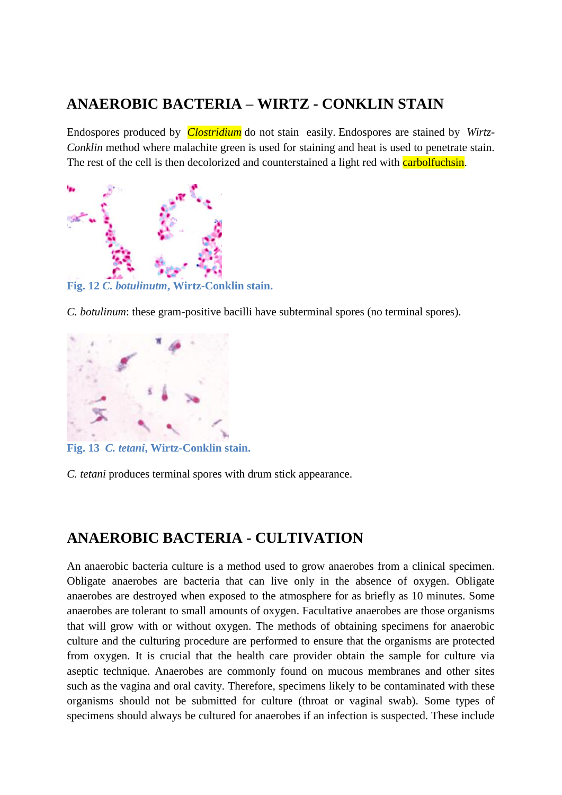# **ANAEROBIC BACTERIA – WIRTZ - CONKLIN STAIN**

Endospores produced by *Clostridium* do not stain easily. Endospores are stained by *Wirtz-Conklin* method where malachite green is used for staining and heat is used to penetrate stain. The rest of the cell is then decolorized and counterstained a light red with carbolfuchsin.



**Fig. 12** *C. botulinutm***, Wirtz-Conklin stain.**

*C. botulinum*: these gram-positive bacilli have subterminal spores (no terminal spores).



**Fig. 13** *C. tetani***, Wirtz-Conklin stain.**

*C. tetani* produces terminal spores with drum stick appearance.

# **ANAEROBIC BACTERIA - CULTIVATION**

An anaerobic bacteria culture is a method used to grow anaerobes from a clinical specimen. Obligate anaerobes are bacteria that can live only in the absence of oxygen. Obligate anaerobes are destroyed when exposed to the atmosphere for as briefly as 10 minutes. Some anaerobes are tolerant to small amounts of oxygen. Facultative anaerobes are those organisms that will grow with or without oxygen. The methods of obtaining specimens for anaerobic culture and the culturing procedure are performed to ensure that the organisms are protected from oxygen. It is crucial that the health care provider obtain the sample for culture via aseptic technique. Anaerobes are commonly found on mucous membranes and other sites such as the vagina and oral cavity. Therefore, specimens likely to be contaminated with these organisms should not be submitted for culture (throat or vaginal swab). Some types of specimens should always be cultured for anaerobes if an infection is suspected. These include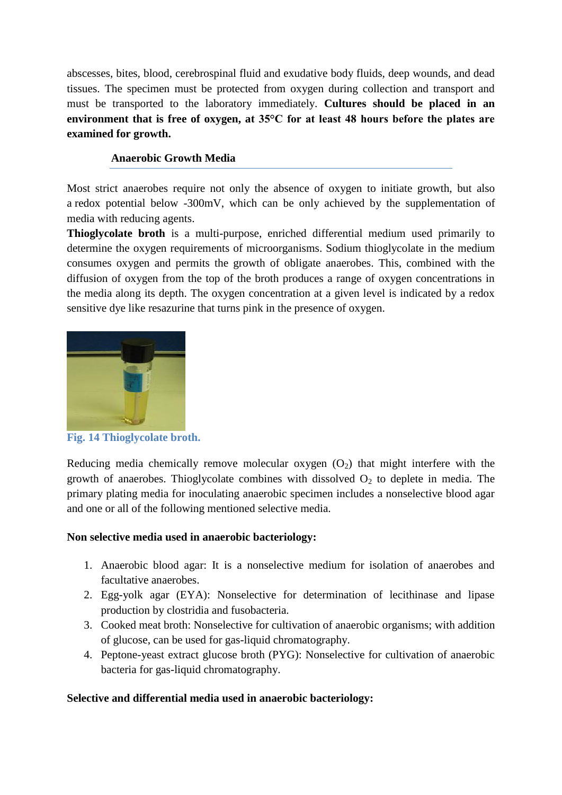abscesses, bites, blood, cerebrospinal fluid and exudative body fluids, deep wounds, and dead tissues. The specimen must be protected from oxygen during collection and transport and must be transported to the laboratory immediately. **Cultures should be placed in an environment that is free of oxygen, at 35°C for at least 48 hours before the plates are examined for growth.** 

#### **Anaerobic Growth Media**

Most strict anaerobes require not only the absence of oxygen to initiate growth, but also a redox potential below -300mV, which can be only achieved by the supplementation of media with reducing agents.

**Thioglycolate broth** is a multi-purpose, enriched differential medium used primarily to determine the oxygen requirements of microorganisms. Sodium thioglycolate in the medium consumes oxygen and permits the growth of obligate anaerobes. This, combined with the diffusion of oxygen from the top of the broth produces a range of oxygen concentrations in the media along its depth. The oxygen concentration at a given level is indicated by a redox sensitive dye like resazurine that turns pink in the presence of oxygen.



**Fig. 14 Thioglycolate broth.**

Reducing media chemically remove molecular oxygen  $(O_2)$  that might interfere with the growth of anaerobes. Thioglycolate combines with dissolved  $O<sub>2</sub>$  to deplete in media. The primary plating media for inoculating anaerobic specimen includes a nonselective blood agar and one or all of the following mentioned selective media.

#### **Non selective media used in anaerobic bacteriology:**

- 1. Anaerobic blood agar: It is a nonselective medium for isolation of anaerobes and facultative anaerobes.
- 2. Egg-yolk agar (EYA): Nonselective for determination of lecithinase and lipase production by clostridia and fusobacteria.
- 3. Cooked meat broth: Nonselective for cultivation of anaerobic organisms; with addition of glucose, can be used for gas-liquid chromatography.
- 4. Peptone-yeast extract glucose broth (PYG): Nonselective for cultivation of anaerobic bacteria for gas-liquid chromatography.

#### **Selective and differential media used in anaerobic bacteriology:**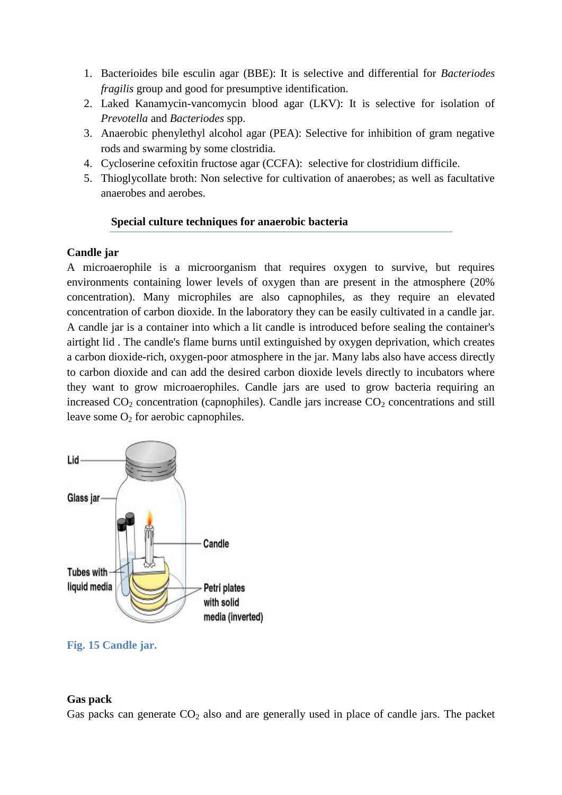- 1. Bacterioides bile esculin agar (BBE): It is selective and differential for *Bacteriodes fragilis* group and good for presumptive identification.
- 2. Laked Kanamycin-vancomycin blood agar (LKV): It is selective for isolation of *Prevotella* and *Bacteriodes* spp.
- 3. Anaerobic phenylethyl alcohol agar (PEA): Selective for inhibition of gram negative rods and swarming by some clostridia.
- 4. Cycloserine cefoxitin fructose agar (CCFA): selective for clostridium difficile.
- 5. Thioglycollate broth: Non selective for cultivation of anaerobes; as well as facultative anaerobes and aerobes.

#### **Special culture techniques for anaerobic bacteria**

#### **Candle jar**

A microaerophile is a microorganism that requires oxygen to survive, but requires environments containing lower levels of oxygen than are present in the atmosphere (20% concentration). Many microphiles are also capnophiles, as they require an elevated concentration of carbon dioxide. In the laboratory they can be easily cultivated in a candle jar. A candle jar is a container into which a lit candle is introduced before sealing the container's airtight lid . The candle's flame burns until extinguished by oxygen deprivation, which creates a carbon dioxide-rich, oxygen-poor atmosphere in the jar. Many labs also have access directly to carbon dioxide and can add the desired carbon dioxide levels directly to incubators where they want to grow microaerophiles. Candle jars are used to grow bacteria requiring an increased  $CO<sub>2</sub>$  concentration (capnophiles). Candle jars increase  $CO<sub>2</sub>$  concentrations and still leave some  $O_2$  for aerobic capnophiles.





#### **Gas pack**

Gas packs can generate  $CO<sub>2</sub>$  also and are generally used in place of candle jars. The packet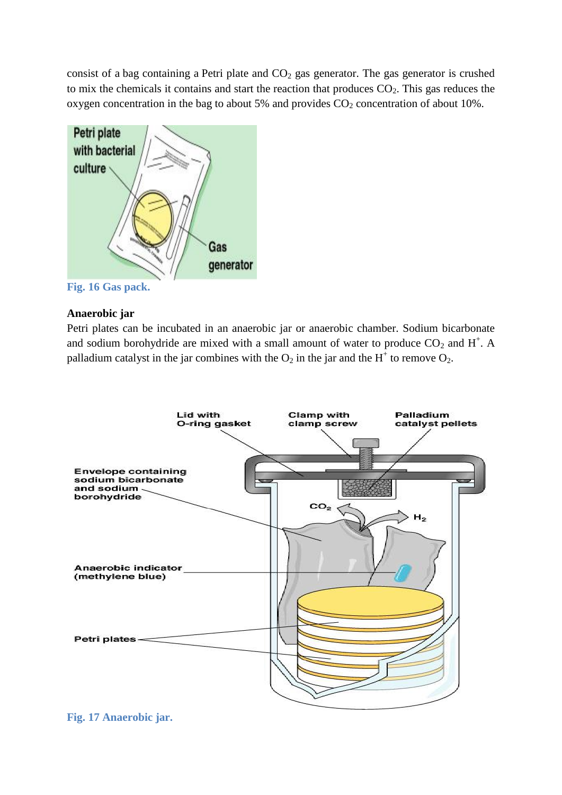consist of a bag containing a Petri plate and  $CO<sub>2</sub>$  gas generator. The gas generator is crushed to mix the chemicals it contains and start the reaction that produces  $CO<sub>2</sub>$ . This gas reduces the oxygen concentration in the bag to about 5% and provides  $CO<sub>2</sub>$  concentration of about 10%.





#### **Anaerobic jar**

Petri plates can be incubated in an anaerobic jar or anaerobic chamber. Sodium bicarbonate and sodium borohydride are mixed with a small amount of water to produce  $CO_2$  and  $H^+$ . A palladium catalyst in the jar combines with the  $O_2$  in the jar and the H<sup>+</sup> to remove  $O_2$ .



**Fig. 17 Anaerobic jar.**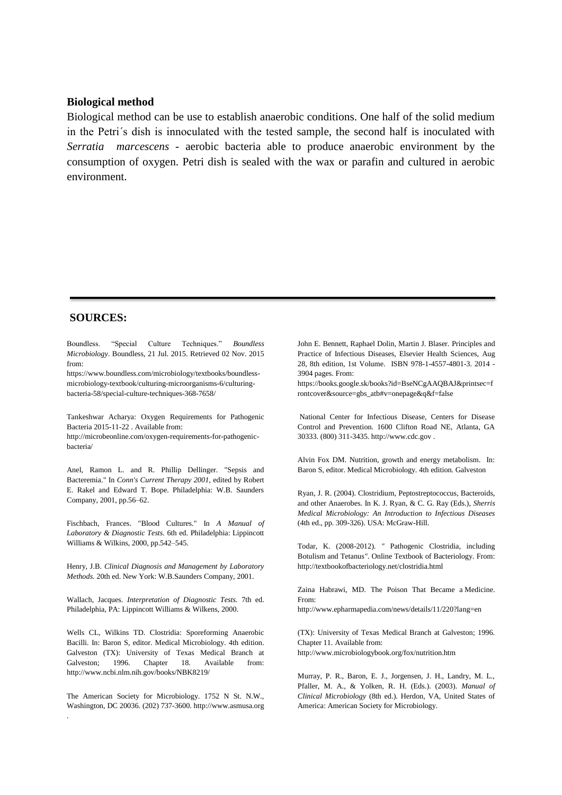#### **Biological method**

Biological method can be use to establish anaerobic conditions. One half of the solid medium in the Petri´s dish is innoculated with the tested sample, the second half is inoculated with *Serratia marcescens -* aerobic bacteria able to produce anaerobic environment by the consumption of oxygen. Petri dish is sealed with the wax or parafin and cultured in aerobic environment.

#### **SOURCES:**

Boundless. "Special Culture Techniques." *Boundless Microbiology*. Boundless, 21 Jul. 2015. Retrieved 02 Nov. 2015 from:

https://www.boundless.com/microbiology/textbooks/boundlessmicrobiology-textbook/culturing-microorganisms-6/culturingbacteria-58/special-culture-techniques-368-7658/

Tankeshwar Acharya: Oxygen Requirements for Pathogenic Bacteria 2015-11-22 . Available from:

http://microbeonline.com/oxygen-requirements-for-pathogenicbacteria/

Anel, Ramon L. and R. Phillip Dellinger. "Sepsis and Bacteremia." In *Conn's Current Therapy 2001,* edited by Robert E. Rakel and Edward T. Bope. Philadelphia: W.B. Saunders Company, 2001, pp.56–62.

Fischbach, Frances. "Blood Cultures." In *A Manual of Laboratory & Diagnostic Tests.* 6th ed. Philadelphia: Lippincott Williams & Wilkins, 2000, pp.542–545.

Henry, J.B. *Clinical Diagnosis and Management by Laboratory Methods.* 20th ed. New York: W.B.Saunders Company, 2001.

Wallach, Jacques. *Interpretation of Diagnostic Tests.* 7th ed. Philadelphia, PA: Lippincott Williams & Wilkens, 2000.

Wells CL, Wilkins TD. Clostridia: Sporeforming Anaerobic Bacilli. In: Baron S, editor. Medical Microbiology. 4th edition. Galveston (TX): University of Texas Medical Branch at Galveston; 1996. Chapter 18. Available from: http://www.ncbi.nlm.nih.gov/books/NBK8219/

The American Society for Microbiology. 1752 N St. N.W., Washington, DC 20036. (202) 737-3600. http://www.asmusa.org .

John E. Bennett, Raphael Dolin, Martin J. Blaser. Principles and Practice of Infectious Diseases, Elsevier Health Sciences, Aug 28, 8th edition, 1st Volume. ISBN 978-1-4557-4801-3. 2014 - 3904 pages. From:

https://books.google.sk/books?id=BseNCgAAQBAJ&printsec=f rontcover&source=gbs\_atb#v=onepage&q&f=false

National Center for Infectious Disease, Centers for Disease Control and Prevention. 1600 Clifton Road NE, Atlanta, GA 30333. (800) 311-3435. http://www.cdc.gov .

Alvin Fox DM. Nutrition, growth and energy metabolism. In: Baron S, editor. Medical Microbiology. 4th edition. Galveston

Ryan, J. R. (2004). Clostridium, Peptostreptococcus, Bacteroids, and other Anaerobes. In K. J. Ryan, & C. G. Ray (Eds.), *Sherris Medical Microbiology: An Introduction to Infectious Diseases* (4th ed., pp. 309-326). USA: McGraw-Hill.

Todar, K. (2008-2012). *"* Pathogenic Clostridia, including Botulism and Tetanus*"*. Online Textbook of Bacteriology*.* From: http://textbookofbacteriology.net/clostridia.html

Zaina Habrawi, MD. The Poison That Became a Medicine. From: http://www.epharmapedia.com/news/details/11/220?lang=en

(TX): University of Texas Medical Branch at Galveston; 1996. Chapter 11. Available from: http://www.microbiologybook.org/fox/nutrition.htm

Murray, P. R., Baron, E. J., Jorgensen, J. H., Landry, M. L., Pfaller, M. A., & Yolken, R. H. (Eds.). (2003). *Manual of Clinical Microbiology* (8th ed.). Herdon, VA, United States of America: American Society for Microbiology.